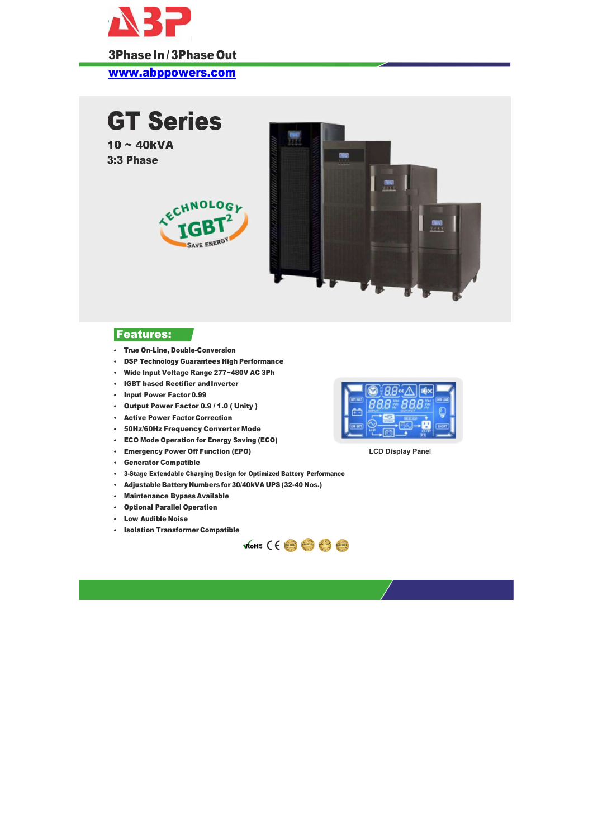

- True On-Line, Double-Conversion
- DSP Technology Guarantees High Performance
- Wide Input Voltage Range 277~480V AC 3Ph
- IGBT based Rectifier and Inverter
- **Input Power Factor 0.99**
- Output Power Factor 0.9 / 1.0 ( Unity )
- Active Power Factor Correction
- 50Hz/60Hz Frequency Converter Mode
- ECO Mode Operation for Energy Saving (ECO)
- Emergency Power Off Function (EPO)
- Generator Compatible
- 3-Stage Extendable Charging Design for Optimized Battery Performance
- Adjustable Battery Numbers for 30/40kVA UPS (32-40 Nos.)
- Maintenance Bypass Available
- Optional Parallel Operation
- Low Audible Noise
- **+ Isolation Transformer Compatible**

www.abppowers.com



LCD Display Panel





## Features: